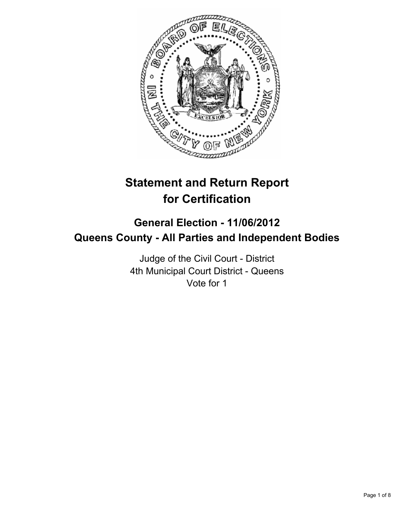

# **Statement and Return Report for Certification**

## **General Election - 11/06/2012 Queens County - All Parties and Independent Bodies**

Judge of the Civil Court - District 4th Municipal Court District - Queens Vote for 1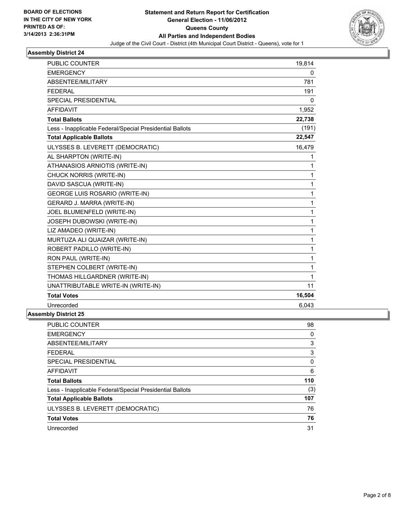

| <b>PUBLIC COUNTER</b>                                    | 19,814 |
|----------------------------------------------------------|--------|
| <b>EMERGENCY</b>                                         | 0      |
| ABSENTEE/MILITARY                                        | 781    |
| <b>FEDERAL</b>                                           | 191    |
| SPECIAL PRESIDENTIAL                                     | 0      |
| <b>AFFIDAVIT</b>                                         | 1,952  |
| <b>Total Ballots</b>                                     | 22,738 |
| Less - Inapplicable Federal/Special Presidential Ballots | (191)  |
| <b>Total Applicable Ballots</b>                          | 22,547 |
| ULYSSES B. LEVERETT (DEMOCRATIC)                         | 16,479 |
| AL SHARPTON (WRITE-IN)                                   | 1      |
| ATHANASIOS ARNIOTIS (WRITE-IN)                           | 1      |
| CHUCK NORRIS (WRITE-IN)                                  | 1      |
| DAVID SASCUA (WRITE-IN)                                  | 1      |
| <b>GEORGE LUIS ROSARIO (WRITE-IN)</b>                    | 1      |
| GERARD J. MARRA (WRITE-IN)                               | 1      |
| JOEL BLUMENFELD (WRITE-IN)                               | 1      |
| JOSEPH DUBOWSKI (WRITE-IN)                               | 1      |
| LIZ AMADEO (WRITE-IN)                                    | 1      |
| MURTUZA ALI QUAIZAR (WRITE-IN)                           | 1      |
| ROBERT PADILLO (WRITE-IN)                                | 1      |
| RON PAUL (WRITE-IN)                                      | 1      |
| STEPHEN COLBERT (WRITE-IN)                               | 1      |
| THOMAS HILLGARDNER (WRITE-IN)                            | 1      |
| UNATTRIBUTABLE WRITE-IN (WRITE-IN)                       | 11     |
| <b>Total Votes</b>                                       | 16,504 |
| Unrecorded                                               | 6,043  |
|                                                          |        |

| <b>PUBLIC COUNTER</b>                                    | 98  |
|----------------------------------------------------------|-----|
| <b>EMERGENCY</b>                                         | 0   |
| ABSENTEE/MILITARY                                        | 3   |
| <b>FEDERAL</b>                                           | 3   |
| <b>SPECIAL PRESIDENTIAL</b>                              | 0   |
| <b>AFFIDAVIT</b>                                         | 6   |
| <b>Total Ballots</b>                                     | 110 |
| Less - Inapplicable Federal/Special Presidential Ballots | (3) |
| <b>Total Applicable Ballots</b>                          | 107 |
| ULYSSES B. LEVERETT (DEMOCRATIC)                         | 76  |
|                                                          |     |
| <b>Total Votes</b>                                       | 76  |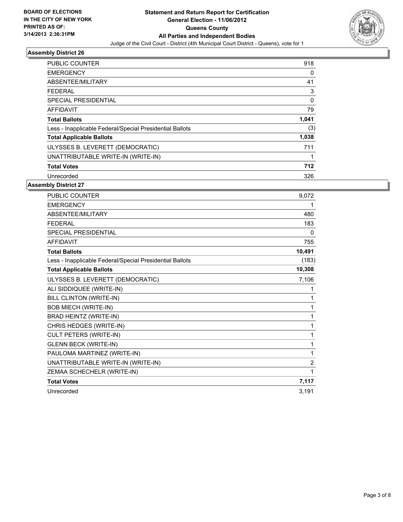

| <b>PUBLIC COUNTER</b>                                    | 918   |
|----------------------------------------------------------|-------|
| <b>EMERGENCY</b>                                         | 0     |
| ABSENTEE/MILITARY                                        | 41    |
| <b>FEDERAL</b>                                           | 3     |
| SPECIAL PRESIDENTIAL                                     | 0     |
| AFFIDAVIT                                                | 79    |
| <b>Total Ballots</b>                                     | 1,041 |
| Less - Inapplicable Federal/Special Presidential Ballots | (3)   |
| <b>Total Applicable Ballots</b>                          | 1,038 |
| ULYSSES B. LEVERETT (DEMOCRATIC)                         | 711   |
| UNATTRIBUTABLE WRITE-IN (WRITE-IN)                       |       |
| <b>Total Votes</b>                                       | 712   |
| Unrecorded                                               | 326   |

| PUBLIC COUNTER                                           | 9.072        |
|----------------------------------------------------------|--------------|
| <b>EMERGENCY</b>                                         | 1            |
| ABSENTEE/MILITARY                                        | 480          |
| <b>FEDERAL</b>                                           | 183          |
| <b>SPECIAL PRESIDENTIAL</b>                              | $\mathbf{0}$ |
| <b>AFFIDAVIT</b>                                         | 755          |
| <b>Total Ballots</b>                                     | 10,491       |
| Less - Inapplicable Federal/Special Presidential Ballots | (183)        |
| <b>Total Applicable Ballots</b>                          | 10,308       |
| ULYSSES B. LEVERETT (DEMOCRATIC)                         | 7,106        |
| ALI SIDDIQUEE (WRITE-IN)                                 | 1            |
| BILL CLINTON (WRITE-IN)                                  | 1            |
| <b>BOB MIECH (WRITE-IN)</b>                              | 1            |
| BRAD HEINTZ (WRITE-IN)                                   | 1            |
| CHRIS HEDGES (WRITE-IN)                                  | 1            |
| CULT PETERS (WRITE-IN)                                   | 1            |
| <b>GLENN BECK (WRITE-IN)</b>                             | 1            |
| PAULOMA MARTINEZ (WRITE-IN)                              | 1            |
| UNATTRIBUTABLE WRITE-IN (WRITE-IN)                       | 2            |
| ZEMAA SCHECHELR (WRITE-IN)                               | 1            |
| <b>Total Votes</b>                                       | 7,117        |
| Unrecorded                                               | 3,191        |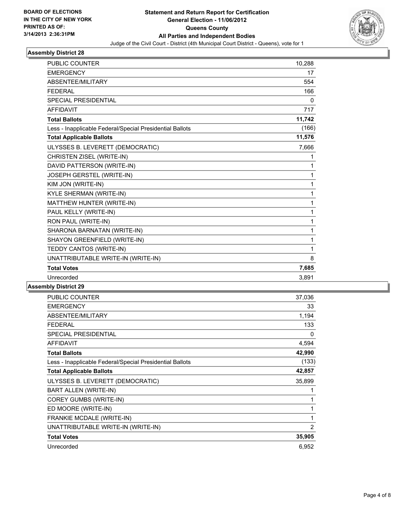

| <b>PUBLIC COUNTER</b>                                    | 10,288       |
|----------------------------------------------------------|--------------|
| <b>EMERGENCY</b>                                         | 17           |
| ABSENTEE/MILITARY                                        | 554          |
| <b>FEDERAL</b>                                           | 166          |
| <b>SPECIAL PRESIDENTIAL</b>                              | 0            |
| <b>AFFIDAVIT</b>                                         | 717          |
| <b>Total Ballots</b>                                     | 11,742       |
| Less - Inapplicable Federal/Special Presidential Ballots | (166)        |
| <b>Total Applicable Ballots</b>                          | 11,576       |
| ULYSSES B. LEVERETT (DEMOCRATIC)                         | 7,666        |
| CHRISTEN ZISEL (WRITE-IN)                                | 1            |
| DAVID PATTERSON (WRITE-IN)                               | 1            |
| JOSEPH GERSTEL (WRITE-IN)                                | $\mathbf{1}$ |
| KIM JON (WRITE-IN)                                       | 1            |
| <b>KYLE SHERMAN (WRITE-IN)</b>                           | $\mathbf{1}$ |
| MATTHEW HUNTER (WRITE-IN)                                | 1            |
| PAUL KELLY (WRITE-IN)                                    | $\mathbf{1}$ |
| RON PAUL (WRITE-IN)                                      | 1            |
| SHARONA BARNATAN (WRITE-IN)                              | 1            |
| SHAYON GREENFIELD (WRITE-IN)                             | 1            |
| TEDDY CANTOS (WRITE-IN)                                  | 1            |
| UNATTRIBUTABLE WRITE-IN (WRITE-IN)                       | 8            |
| <b>Total Votes</b>                                       | 7,685        |
| Unrecorded                                               | 3,891        |
|                                                          |              |

| PUBLIC COUNTER                                           | 37,036 |
|----------------------------------------------------------|--------|
| <b>EMERGENCY</b>                                         | 33     |
| ABSENTEE/MILITARY                                        | 1,194  |
| <b>FEDERAL</b>                                           | 133    |
| <b>SPECIAL PRESIDENTIAL</b>                              | 0      |
| <b>AFFIDAVIT</b>                                         | 4,594  |
| <b>Total Ballots</b>                                     | 42,990 |
| Less - Inapplicable Federal/Special Presidential Ballots | (133)  |
| <b>Total Applicable Ballots</b>                          | 42,857 |
| ULYSSES B. LEVERETT (DEMOCRATIC)                         | 35,899 |
| BART ALLEN (WRITE-IN)                                    | 1      |
| <b>COREY GUMBS (WRITE-IN)</b>                            | 1      |
| ED MOORE (WRITE-IN)                                      | 1      |
| FRANKIE MCDALE (WRITE-IN)                                | 1      |
| UNATTRIBUTABLE WRITE-IN (WRITE-IN)                       | 2      |
| <b>Total Votes</b>                                       | 35,905 |
| Unrecorded                                               | 6,952  |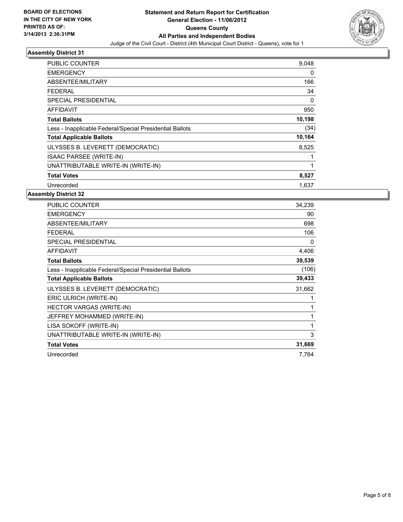

| <b>PUBLIC COUNTER</b>                                    | 9,048  |
|----------------------------------------------------------|--------|
| <b>EMERGENCY</b>                                         | 0      |
| ABSENTEE/MILITARY                                        | 166    |
| FEDERAL                                                  | 34     |
| SPECIAL PRESIDENTIAL                                     | 0      |
| AFFIDAVIT                                                | 950    |
| <b>Total Ballots</b>                                     | 10,198 |
| Less - Inapplicable Federal/Special Presidential Ballots | (34)   |
| <b>Total Applicable Ballots</b>                          | 10,164 |
| ULYSSES B. LEVERETT (DEMOCRATIC)                         | 8,525  |
| <b>ISAAC PARSEE (WRITE-IN)</b>                           | 1      |
| UNATTRIBUTABLE WRITE-IN (WRITE-IN)                       | 1      |
| <b>Total Votes</b>                                       | 8,527  |
| Unrecorded                                               | 1.637  |

| <b>PUBLIC COUNTER</b>                                    | 34,239 |
|----------------------------------------------------------|--------|
| <b>EMERGENCY</b>                                         | 90     |
| ABSENTEE/MILITARY                                        | 698    |
| <b>FEDERAL</b>                                           | 106    |
| <b>SPECIAL PRESIDENTIAL</b>                              | 0      |
| AFFIDAVIT                                                | 4,406  |
| <b>Total Ballots</b>                                     | 39,539 |
| Less - Inapplicable Federal/Special Presidential Ballots | (106)  |
| <b>Total Applicable Ballots</b>                          | 39,433 |
| ULYSSES B. LEVERETT (DEMOCRATIC)                         | 31,662 |
| ERIC ULRICH (WRITE-IN)                                   |        |
| <b>HECTOR VARGAS (WRITE-IN)</b>                          | 1      |
| JEFFREY MOHAMMED (WRITE-IN)                              | 1      |
| LISA SOKOFF (WRITE-IN)                                   | 1      |
| UNATTRIBUTABLE WRITE-IN (WRITE-IN)                       | 3      |
| <b>Total Votes</b>                                       | 31,669 |
| Unrecorded                                               | 7.764  |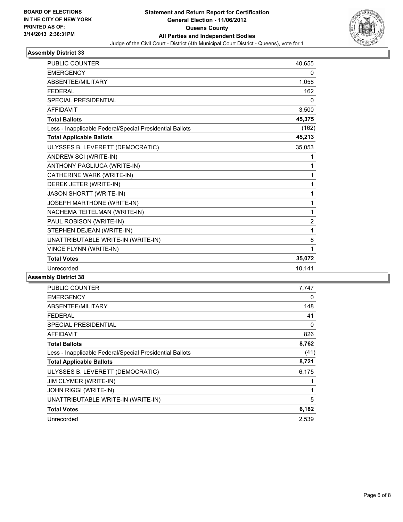

| <b>PUBLIC COUNTER</b>                                    | 40,655         |
|----------------------------------------------------------|----------------|
| <b>EMERGENCY</b>                                         | 0              |
| <b>ABSENTEE/MILITARY</b>                                 | 1,058          |
| <b>FEDERAL</b>                                           | 162            |
| <b>SPECIAL PRESIDENTIAL</b>                              | 0              |
| <b>AFFIDAVIT</b>                                         | 3,500          |
| <b>Total Ballots</b>                                     | 45,375         |
| Less - Inapplicable Federal/Special Presidential Ballots | (162)          |
| <b>Total Applicable Ballots</b>                          | 45,213         |
| ULYSSES B. LEVERETT (DEMOCRATIC)                         | 35,053         |
| ANDREW SCI (WRITE-IN)                                    | 1              |
| ANTHONY PAGLIUCA (WRITE-IN)                              | 1              |
| CATHERINE WARK (WRITE-IN)                                | 1              |
| DEREK JETER (WRITE-IN)                                   | 1              |
| <b>JASON SHORTT (WRITE-IN)</b>                           | 1              |
| JOSEPH MARTHONE (WRITE-IN)                               | 1              |
| NACHEMA TEITELMAN (WRITE-IN)                             | 1              |
| PAUL ROBISON (WRITE-IN)                                  | $\overline{2}$ |
| STEPHEN DEJEAN (WRITE-IN)                                | 1              |
| UNATTRIBUTABLE WRITE-IN (WRITE-IN)                       | 8              |
| VINCE FLYNN (WRITE-IN)                                   | 1              |
| <b>Total Votes</b>                                       | 35,072         |
| Unrecorded                                               | 10,141         |

| <b>PUBLIC COUNTER</b>                                    | 7,747 |
|----------------------------------------------------------|-------|
| <b>EMERGENCY</b>                                         | 0     |
| ABSENTEE/MILITARY                                        | 148   |
| <b>FEDERAL</b>                                           | 41    |
| SPECIAL PRESIDENTIAL                                     | 0     |
| <b>AFFIDAVIT</b>                                         | 826   |
| <b>Total Ballots</b>                                     | 8,762 |
| Less - Inapplicable Federal/Special Presidential Ballots | (41)  |
| <b>Total Applicable Ballots</b>                          | 8,721 |
| ULYSSES B. LEVERETT (DEMOCRATIC)                         | 6,175 |
| JIM CLYMER (WRITE-IN)                                    | 1     |
| <b>JOHN RIGGI (WRITE-IN)</b>                             | 1     |
| UNATTRIBUTABLE WRITE-IN (WRITE-IN)                       | 5     |
| <b>Total Votes</b>                                       | 6,182 |
| Unrecorded                                               | 2,539 |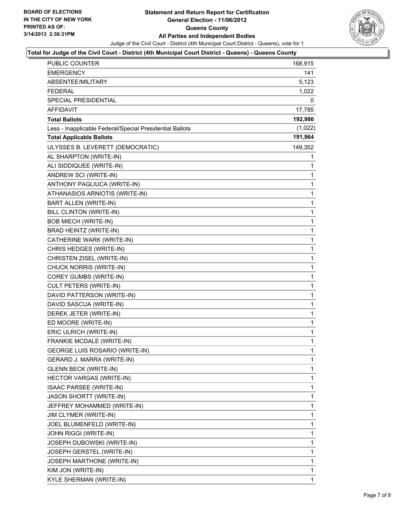

#### **Total for Judge of the Civil Court - District (4th Municipal Court District - Queens) - Queens County**

| <b>PUBLIC COUNTER</b>                                    | 168,915      |
|----------------------------------------------------------|--------------|
| EMERGENCY                                                | 141          |
| ABSENTEE/MILITARY                                        | 5,123        |
| <b>FEDERAL</b>                                           | 1,022        |
| SPECIAL PRESIDENTIAL                                     | 0            |
| <b>AFFIDAVIT</b>                                         | 17,785       |
| <b>Total Ballots</b>                                     | 192,986      |
| Less - Inapplicable Federal/Special Presidential Ballots | (1,022)      |
| <b>Total Applicable Ballots</b>                          | 191,964      |
| ULYSSES B. LEVERETT (DEMOCRATIC)                         | 149,352      |
| AL SHARPTON (WRITE-IN)                                   | 1            |
| ALI SIDDIQUEE (WRITE-IN)                                 | 1            |
| ANDREW SCI (WRITE-IN)                                    | 1            |
| ANTHONY PAGLIUCA (WRITE-IN)                              | $\mathbf 1$  |
| ATHANASIOS ARNIOTIS (WRITE-IN)                           | 1            |
| BART ALLEN (WRITE-IN)                                    | 1            |
| BILL CLINTON (WRITE-IN)                                  | $\mathbf 1$  |
| <b>BOB MIECH (WRITE-IN)</b>                              | 1            |
| BRAD HEINTZ (WRITE-IN)                                   | 1            |
| CATHERINE WARK (WRITE-IN)                                | $\mathbf 1$  |
| CHRIS HEDGES (WRITE-IN)                                  | 1            |
| CHRISTEN ZISEL (WRITE-IN)                                | 1            |
| CHUCK NORRIS (WRITE-IN)                                  | $\mathbf 1$  |
| COREY GUMBS (WRITE-IN)                                   | 1            |
| CULT PETERS (WRITE-IN)                                   | 1            |
| DAVID PATTERSON (WRITE-IN)                               | $\mathbf 1$  |
| DAVID SASCUA (WRITE-IN)                                  | 1            |
| DEREK JETER (WRITE-IN)                                   | 1            |
| ED MOORE (WRITE-IN)                                      | $\mathbf 1$  |
| ERIC ULRICH (WRITE-IN)                                   | 1            |
| FRANKIE MCDALE (WRITE-IN)                                | 1            |
| <b>GEORGE LUIS ROSARIO (WRITE-IN)</b>                    | $\mathbf{1}$ |
| GERARD J. MARRA (WRITE-IN)                               | 1            |
| <b>GLENN BECK (WRITE-IN)</b>                             | 1            |
| HECTOR VARGAS (WRITE-IN)                                 | 1            |
| ISAAC PARSEE (WRITE-IN)                                  | 1            |
| JASON SHORTT (WRITE-IN)                                  | 1            |
| JEFFREY MOHAMMED (WRITE-IN)                              | 1            |
| JIM CLYMER (WRITE-IN)                                    | 1            |
| JOEL BLUMENFELD (WRITE-IN)                               | 1            |
| JOHN RIGGI (WRITE-IN)                                    | 1            |
| JOSEPH DUBOWSKI (WRITE-IN)                               | 1            |
| JOSEPH GERSTEL (WRITE-IN)                                | 1            |
| JOSEPH MARTHONE (WRITE-IN)                               | 1            |
| KIM JON (WRITE-IN)                                       | 1            |
| KYLE SHERMAN (WRITE-IN)                                  | 1            |
|                                                          |              |